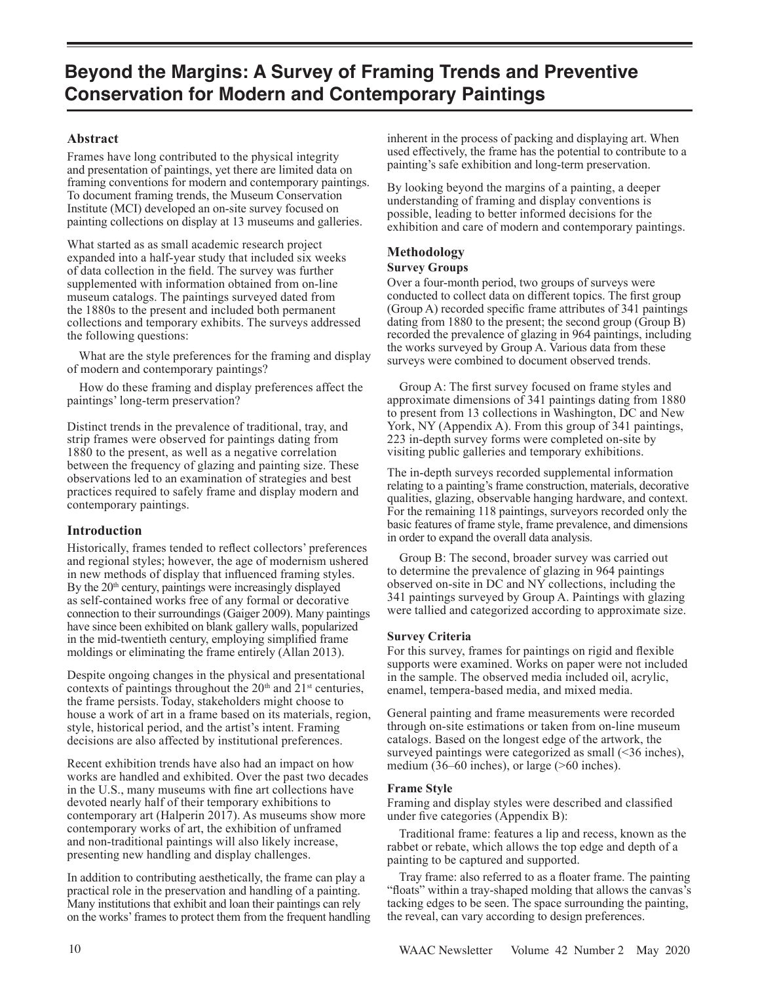## **Abstract**

Frames have long contributed to the physical integrity and presentation of paintings, yet there are limited data on framing conventions for modern and contemporary paintings. To document framing trends, the Museum Conservation Institute (MCI) developed an on-site survey focused on painting collections on display at 13 museums and galleries.

What started as as small academic research project expanded into a half-year study that included six weeks of data collection in the field. The survey was further supplemented with information obtained from on-line museum catalogs. The paintings surveyed dated from the 1880s to the present and included both permanent collections and temporary exhibits. The surveys addressed the following questions:

 What are the style preferences for the framing and display of modern and contemporary paintings?

 How do these framing and display preferences affect the paintings' long-term preservation?

Distinct trends in the prevalence of traditional, tray, and strip frames were observed for paintings dating from 1880 to the present, as well as a negative correlation between the frequency of glazing and painting size. These observations led to an examination of strategies and best practices required to safely frame and display modern and contemporary paintings.

## **Introduction**

Historically, frames tended to reflect collectors' preferences and regional styles; however, the age of modernism ushered in new methods of display that influenced framing styles. By the 20<sup>th</sup> century, paintings were increasingly displayed as self-contained works free of any formal or decorative connection to their surroundings (Gaiger 2009). Many paintings have since been exhibited on blank gallery walls, popularized in the mid-twentieth century, employing simplified frame moldings or eliminating the frame entirely (Allan 2013).

Despite ongoing changes in the physical and presentational contexts of paintings throughout the 20<sup>th</sup> and 21<sup>st</sup> centuries, the frame persists.Today, stakeholders might choose to house a work of art in a frame based on its materials, region, style, historical period, and the artist's intent. Framing decisions are also affected by institutional preferences.

Recent exhibition trends have also had an impact on how works are handled and exhibited. Over the past two decades in the U.S., many museums with fine art collections have devoted nearly half of their temporary exhibitions to contemporary art (Halperin 2017). As museums show more contemporary works of art, the exhibition of unframed and non-traditional paintings will also likely increase, presenting new handling and display challenges.

In addition to contributing aesthetically, the frame can play a practical role in the preservation and handling of a painting. Many institutions that exhibit and loan their paintings can rely on the works' frames to protect them from the frequent handling inherent in the process of packing and displaying art. When used effectively, the frame has the potential to contribute to a painting's safe exhibition and long-term preservation.

By looking beyond the margins of a painting, a deeper understanding of framing and display conventions is possible, leading to better informed decisions for the exhibition and care of modern and contemporary paintings.

# **Methodology**

## **Survey Groups**

Over a four-month period, two groups of surveys were conducted to collect data on different topics. The first group (Group A) recorded specific frame attributes of 341 paintings dating from 1880 to the present; the second group (Group B) recorded the prevalence of glazing in 964 paintings, including the works surveyed by Group A. Various data from these surveys were combined to document observed trends.

 Group A: The first survey focused on frame styles and approximate dimensions of 341 paintings dating from 1880 to present from 13 collections in Washington, DC and New York, NY (Appendix A). From this group of 341 paintings, 223 in-depth survey forms were completed on-site by visiting public galleries and temporary exhibitions.

The in-depth surveys recorded supplemental information relating to a painting's frame construction, materials, decorative qualities, glazing, observable hanging hardware, and context. For the remaining 118 paintings, surveyors recorded only the basic features of frame style, frame prevalence, and dimensions in order to expand the overall data analysis.

 Group B: The second, broader survey was carried out to determine the prevalence of glazing in 964 paintings observed on-site in DC and NY collections, including the 341 paintings surveyed by Group A. Paintings with glazing were tallied and categorized according to approximate size.

#### **Survey Criteria**

For this survey, frames for paintings on rigid and flexible supports were examined. Works on paper were not included in the sample. The observed media included oil, acrylic, enamel, tempera-based media, and mixed media.

General painting and frame measurements were recorded through on-site estimations or taken from on-line museum catalogs. Based on the longest edge of the artwork, the surveyed paintings were categorized as small (<36 inches), medium (36–60 inches), or large (>60 inches).

#### **Frame Style**

Framing and display styles were described and classified under five categories (Appendix B):

 Traditional frame: features a lip and recess, known as the rabbet or rebate, which allows the top edge and depth of a painting to be captured and supported.

 Tray frame: also referred to as a floater frame. The painting "floats" within a tray-shaped molding that allows the canvas's tacking edges to be seen. The space surrounding the painting, the reveal, can vary according to design preferences.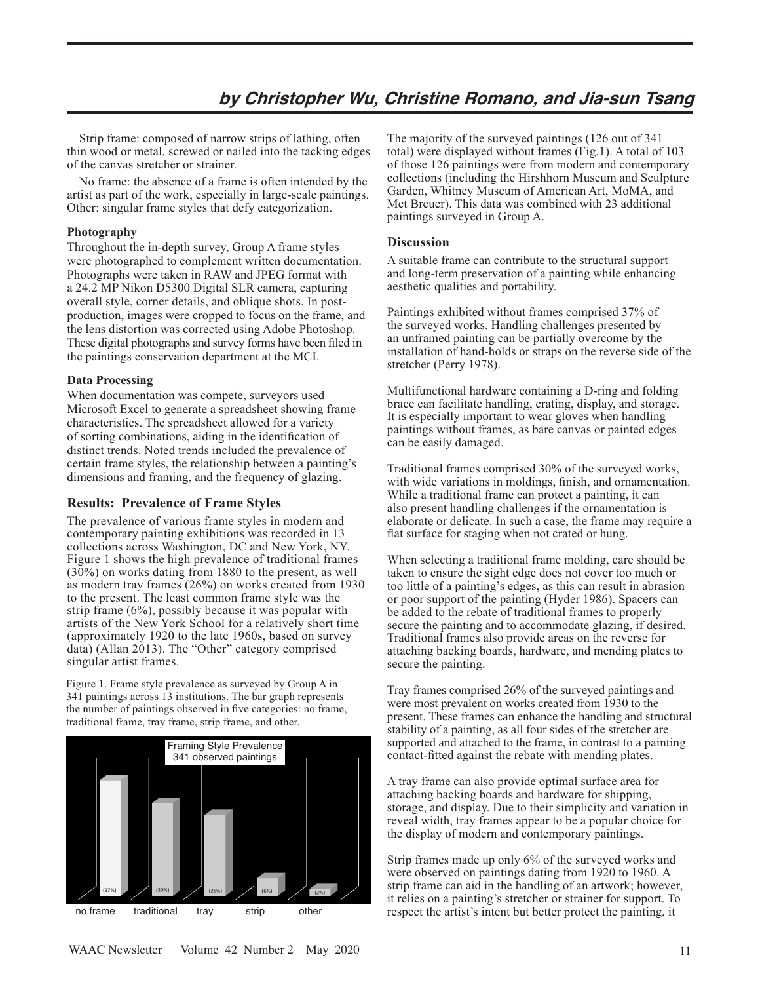## **by Christopher Wu, Christine Romano, and Jia-sun Tsang**

 Strip frame: composed of narrow strips of lathing, often thin wood or metal, screwed or nailed into the tacking edges of the canvas stretcher or strainer.

 No frame: the absence of a frame is often intended by the artist as part of the work, especially in large-scale paintings. Other: singular frame styles that defy categorization.

#### **Photography**

Throughout the in-depth survey, Group A frame styles were photographed to complement written documentation. Photographs were taken in RAW and JPEG format with a 24.2 MP Nikon D5300 Digital SLR camera, capturing overall style, corner details, and oblique shots. In postproduction, images were cropped to focus on the frame, and the lens distortion was corrected using Adobe Photoshop. These digital photographs and survey forms have been filed in the paintings conservation department at the MCI.

#### **Data Processing**

When documentation was compete, surveyors used Microsoft Excel to generate a spreadsheet showing frame characteristics. The spreadsheet allowed for a variety of sorting combinations, aiding in the identification of distinct trends. Noted trends included the prevalence of certain frame styles, the relationship between a painting's dimensions and framing, and the frequency of glazing.

#### **Results: Prevalence of Frame Styles**

The prevalence of various frame styles in modern and contemporary painting exhibitions was recorded in 13 collections across Washington, DC and New York, NY. Figure 1 shows the high prevalence of traditional frames (30%) on works dating from 1880 to the present, as well as modern tray frames (26%) on works created from 1930 to the present. The least common frame style was the strip frame (6%), possibly because it was popular with artists of the New York School for a relatively short time (approximately 1920 to the late 1960s, based on survey  $data)$  (Allan 2013). The "Other" category comprised singular artist frames.

Figure 1. Frame style prevalence as surveyed by Group A in 341 paintings across 13 institutions. The bar graph represents the number of paintings observed in five categories: no frame, traditional frame, tray frame, strip frame, and other.



The majority of the surveyed paintings (126 out of 341 total) were displayed without frames (Fig.1). A total of 103 of those 126 paintings were from modern and contemporary collections (including the Hirshhorn Museum and Sculpture Garden, Whitney Museum of American Art, MoMA, and Met Breuer). This data was combined with 23 additional paintings surveyed in Group A.

## **Discussion**

A suitable frame can contribute to the structural support and long-term preservation of a painting while enhancing aesthetic qualities and portability.

Paintings exhibited without frames comprised 37% of the surveyed works. Handling challenges presented by an unframed painting can be partially overcome by the installation of hand-holds or straps on the reverse side of the stretcher (Perry 1978).

Multifunctional hardware containing a D-ring and folding brace can facilitate handling, crating, display, and storage. It is especially important to wear gloves when handling paintings without frames, as bare canvas or painted edges can be easily damaged.

Traditional frames comprised 30% of the surveyed works, with wide variations in moldings, finish, and ornamentation. While a traditional frame can protect a painting, it can also present handling challenges if the ornamentation is elaborate or delicate. In such a case, the frame may require a flat surface for staging when not crated or hung.

When selecting a traditional frame molding, care should be taken to ensure the sight edge does not cover too much or too little of a painting's edges, as this can result in abrasion or poor support of the painting (Hyder 1986). Spacers can be added to the rebate of traditional frames to properly secure the painting and to accommodate glazing, if desired. Traditional frames also provide areas on the reverse for attaching backing boards, hardware, and mending plates to secure the painting.

Tray frames comprised 26% of the surveyed paintings and were most prevalent on works created from 1930 to the present. These frames can enhance the handling and structural stability of a painting, as all four sides of the stretcher are supported and attached to the frame, in contrast to a painting contact-fitted against the rebate with mending plates.

A tray frame can also provide optimal surface area for attaching backing boards and hardware for shipping, storage, and display. Due to their simplicity and variation in reveal width, tray frames appear to be a popular choice for the display of modern and contemporary paintings.

Strip frames made up only 6% of the surveyed works and were observed on paintings dating from 1920 to 1960. A strip frame can aid in the handling of an artwork; however, it relies on a painting's stretcher or strainer for support. To respect the artist's intent but better protect the painting, it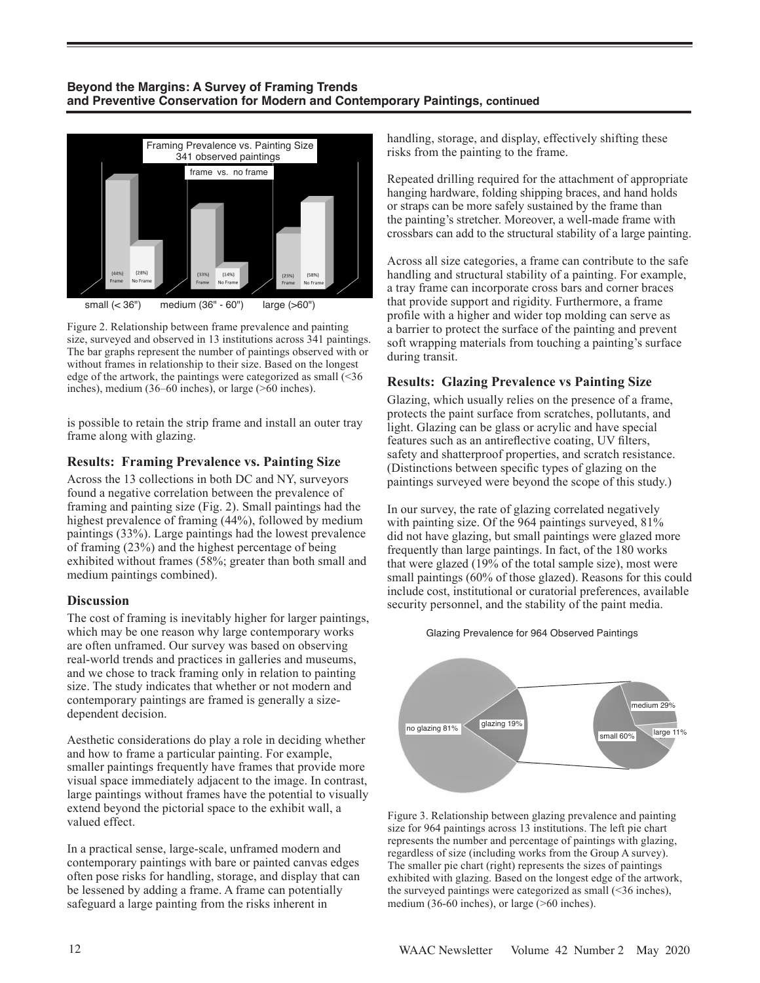## **Beyond the Margins: A Survey of Framing Trends and Preventive Conservation for Modern and Contemporary Paintings, continued**



Figure 2. Relationship between frame prevalence and painting size, surveyed and observed in 13 institutions across 341 paintings. The bar graphs represent the number of paintings observed with or without frames in relationship to their size. Based on the longest edge of the artwork, the paintings were categorized as small (<36 inches), medium (36–60 inches), or large (>60 inches).

is possible to retain the strip frame and install an outer tray frame along with glazing.

## **Results: Framing Prevalence vs. Painting Size**

Across the 13 collections in both DC and NY, surveyors found a negative correlation between the prevalence of framing and painting size (Fig. 2). Small paintings had the highest prevalence of framing (44%), followed by medium paintings (33%). Large paintings had the lowest prevalence of framing (23%) and the highest percentage of being exhibited without frames (58%; greater than both small and medium paintings combined).

## **Discussion**

The cost of framing is inevitably higher for larger paintings, which may be one reason why large contemporary works are often unframed. Our survey was based on observing real-world trends and practices in galleries and museums, and we chose to track framing only in relation to painting size. The study indicates that whether or not modern and contemporary paintings are framed is generally a sizedependent decision.

Aesthetic considerations do play a role in deciding whether and how to frame a particular painting. For example, smaller paintings frequently have frames that provide more visual space immediately adjacent to the image. In contrast, large paintings without frames have the potential to visually extend beyond the pictorial space to the exhibit wall, a valued effect.

In a practical sense, large-scale, unframed modern and contemporary paintings with bare or painted canvas edges often pose risks for handling, storage, and display that can be lessened by adding a frame. A frame can potentially safeguard a large painting from the risks inherent in

handling, storage, and display, effectively shifting these risks from the painting to the frame.

Repeated drilling required for the attachment of appropriate hanging hardware, folding shipping braces, and hand holds or straps can be more safely sustained by the frame than the painting's stretcher. Moreover, a well-made frame with crossbars can add to the structural stability of a large painting.

Across all size categories, a frame can contribute to the safe handling and structural stability of a painting. For example, a tray frame can incorporate cross bars and corner braces that provide support and rigidity. Furthermore, a frame profile with a higher and wider top molding can serve as a barrier to protect the surface of the painting and prevent soft wrapping materials from touching a painting's surface during transit.

## **Results: Glazing Prevalence vs Painting Size**

Glazing, which usually relies on the presence of a frame, protects the paint surface from scratches, pollutants, and light. Glazing can be glass or acrylic and have special features such as an antireflective coating, UV filters, safety and shatterproof properties, and scratch resistance. (Distinctions between specific types of glazing on the paintings surveyed were beyond the scope of this study.)

In our survey, the rate of glazing correlated negatively with painting size. Of the 964 paintings surveyed, 81% did not have glazing, but small paintings were glazed more frequently than large paintings. In fact, of the 180 works that were glazed (19% of the total sample size), most were small paintings (60% of those glazed). Reasons for this could include cost, institutional or curatorial preferences, available security personnel, and the stability of the paint media.





Figure 3. Relationship between glazing prevalence and painting size for 964 paintings across 13 institutions. The left pie chart represents the number and percentage of paintings with glazing, regardless of size (including works from the Group A survey). The smaller pie chart (right) represents the sizes of paintings exhibited with glazing. Based on the longest edge of the artwork, the surveyed paintings were categorized as small  $(\leq 36$  inches), medium (36-60 inches), or large (>60 inches).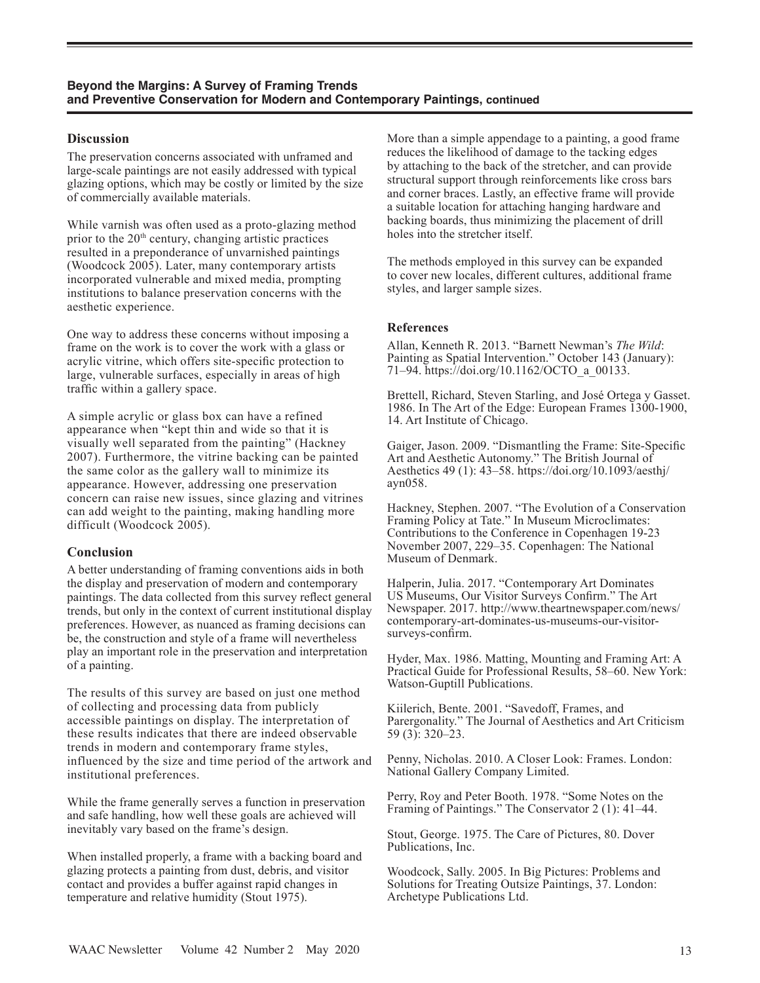## **Discussion**

The preservation concerns associated with unframed and large-scale paintings are not easily addressed with typical glazing options, which may be costly or limited by the size of commercially available materials.

While varnish was often used as a proto-glazing method prior to the  $20<sup>th</sup>$  century, changing artistic practices resulted in a preponderance of unvarnished paintings (Woodcock 2005). Later, many contemporary artists incorporated vulnerable and mixed media, prompting institutions to balance preservation concerns with the aesthetic experience.

One way to address these concerns without imposing a frame on the work is to cover the work with a glass or acrylic vitrine, which offers site-specific protection to large, vulnerable surfaces, especially in areas of high traffic within a gallery space.

A simple acrylic or glass box can have a refined appearance when "kept thin and wide so that it is visually well separated from the painting" (Hackney 2007). Furthermore, the vitrine backing can be painted the same color as the gallery wall to minimize its appearance. However, addressing one preservation concern can raise new issues, since glazing and vitrines can add weight to the painting, making handling more difficult (Woodcock 2005).

## **Conclusion**

A better understanding of framing conventions aids in both the display and preservation of modern and contemporary paintings. The data collected from this survey reflect general trends, but only in the context of current institutional display preferences. However, as nuanced as framing decisions can be, the construction and style of a frame will nevertheless play an important role in the preservation and interpretation of a painting.

The results of this survey are based on just one method of collecting and processing data from publicly accessible paintings on display. The interpretation of these results indicates that there are indeed observable trends in modern and contemporary frame styles, influenced by the size and time period of the artwork and institutional preferences.

While the frame generally serves a function in preservation and safe handling, how well these goals are achieved will inevitably vary based on the frame's design.

When installed properly, a frame with a backing board and glazing protects a painting from dust, debris, and visitor contact and provides a buffer against rapid changes in temperature and relative humidity (Stout 1975).

More than a simple appendage to a painting, a good frame reduces the likelihood of damage to the tacking edges by attaching to the back of the stretcher, and can provide structural support through reinforcements like cross bars and corner braces. Lastly, an effective frame will provide a suitable location for attaching hanging hardware and backing boards, thus minimizing the placement of drill holes into the stretcher itself.

The methods employed in this survey can be expanded to cover new locales, different cultures, additional frame styles, and larger sample sizes.

## **References**

Allan, Kenneth R. 2013. "Barnett Newman's *The Wild*: Painting as Spatial Intervention." October 143 (January): 71–94. https://doi.org/10.1162/OCTO\_a\_00133.

Brettell, Richard, Steven Starling, and José Ortega y Gasset. 1986. In The Art of the Edge: European Frames 1300-1900, 14. Art Institute of Chicago.

Gaiger, Jason. 2009. "Dismantling the Frame: Site-Specific Art and Aesthetic Autonomy." The British Journal of Aesthetics 49 (1): 43–58. https://doi.org/10.1093/aesthj/ ayn058.

Hackney, Stephen. 2007. "The Evolution of a Conservation Framing Policy at Tate." In Museum Microclimates: Contributions to the Conference in Copenhagen 19-23 November 2007, 229–35. Copenhagen: The National Museum of Denmark.

Halperin, Julia. 2017. "Contemporary Art Dominates US Museums, Our Visitor Surveys Confirm." The Art Newspaper. 2017. http://www.theartnewspaper.com/news/ contemporary-art-dominates-us-museums-our-visitorsurveys-confirm.

Hyder, Max. 1986. Matting, Mounting and Framing Art: A Practical Guide for Professional Results, 58–60. New York: Watson-Guptill Publications.

Kiilerich, Bente. 2001. "Savedoff, Frames, and Parergonality." The Journal of Aesthetics and Art Criticism 59 (3): 320–23.

Penny, Nicholas. 2010. A Closer Look: Frames. London: National Gallery Company Limited.

Perry, Roy and Peter Booth. 1978. "Some Notes on the Framing of Paintings." The Conservator 2 (1): 41–44.

Stout, George. 1975. The Care of Pictures, 80. Dover Publications, Inc.

Woodcock, Sally. 2005. In Big Pictures: Problems and Solutions for Treating Outsize Paintings, 37. London: Archetype Publications Ltd.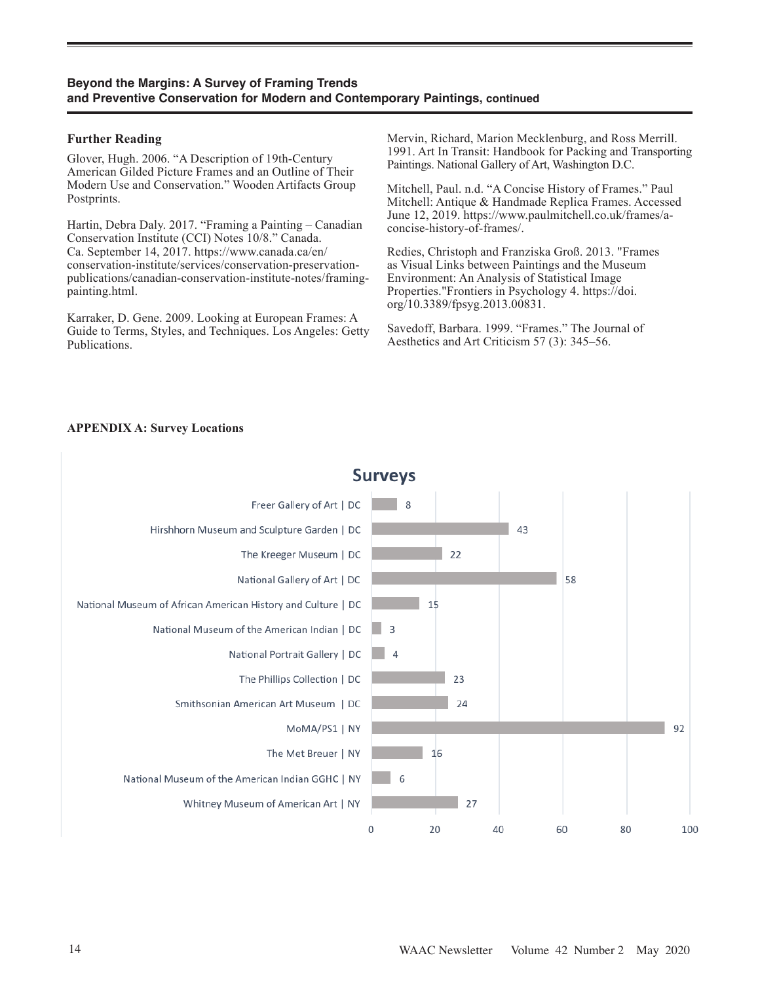## **Beyond the Margins: A Survey of Framing Trends and Preventive Conservation for Modern and Contemporary Paintings, continued**

#### **Further Reading**

Glover, Hugh. 2006. "A Description of 19th-Century American Gilded Picture Frames and an Outline of Their Modern Use and Conservation." Wooden Artifacts Group Postprints.

Hartin, Debra Daly. 2017. "Framing a Painting – Canadian Conservation Institute (CCI) Notes 10/8." Canada. Ca. September 14, 2017. https://www.canada.ca/en/ conservation-institute/services/conservation-preservationpublications/canadian-conservation-institute-notes/framingpainting.html.

Karraker, D. Gene. 2009. Looking at European Frames: A Guide to Terms, Styles, and Techniques. Los Angeles: Getty Publications.

Mervin, Richard, Marion Mecklenburg, and Ross Merrill. 1991. Art In Transit: Handbook for Packing and Transporting Paintings. National Gallery of Art, Washington D.C.

Mitchell, Paul. n.d. "A Concise History of Frames." Paul Mitchell: Antique & Handmade Replica Frames. Accessed June 12, 2019. https://www.paulmitchell.co.uk/frames/aconcise-history-of-frames/.

Redies, Christoph and Franziska Groß. 2013. "Frames as Visual Links between Paintings and the Museum Environment: An Analysis of Statistical Image Properties."Frontiers in Psychology 4. https://doi. org/10.3389/fpsyg.2013.00831.

Savedoff, Barbara. 1999. "Frames." The Journal of Aesthetics and Art Criticism 57 (3): 345–56.

## **APPENDIX A: Survey Locations**